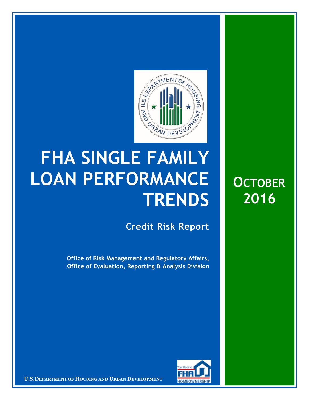

## **FHA SINGLE FAMILY LOAN PERFORMANCE TRENDS**

**Credit Risk Report**

**Office of Risk Management and Regulatory Affairs, Office of Evaluation, Reporting & Analysis Division** 



**U.S.DEPARTMENT OF HOUSING AND URBAN DEVELOPMENT** 

**OCTOBER 2016**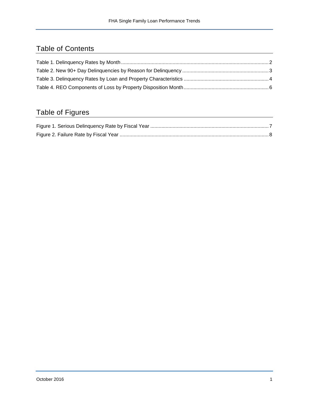## Table of Contents

## Table of Figures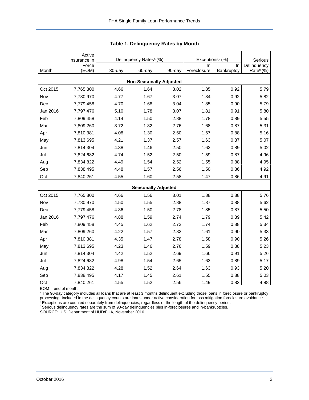|                                | Active<br>Insurance in | Delinquency Rates <sup>a</sup> (%) |        |                            | Exceptions <sup>b</sup> (%) | Serious    |                       |  |  |  |  |  |
|--------------------------------|------------------------|------------------------------------|--------|----------------------------|-----------------------------|------------|-----------------------|--|--|--|--|--|
|                                | Force                  |                                    |        |                            | In.                         | In         | Delinquency           |  |  |  |  |  |
| Month                          | (EOM)                  | 30-day                             | 60-day | 90-day                     | Foreclosure                 | Bankruptcy | Rate <sup>c</sup> (%) |  |  |  |  |  |
| <b>Non-Seasonally Adjusted</b> |                        |                                    |        |                            |                             |            |                       |  |  |  |  |  |
| Oct 2015                       | 7,765,800              | 4.66                               | 1.64   | 3.02                       | 1.85                        | 0.92       | 5.79                  |  |  |  |  |  |
| Nov                            | 7,780,970              | 4.77                               | 1.67   | 3.07                       | 1.84                        | 0.92       | 5.82                  |  |  |  |  |  |
| Dec                            | 7,779,458              | 4.70                               | 1.68   | 3.04                       | 1.85                        | 0.90       | 5.79                  |  |  |  |  |  |
| Jan 2016                       | 7,797,476              | 5.10                               | 1.78   | 3.07                       | 1.81                        | 0.91       | 5.80                  |  |  |  |  |  |
| Feb                            | 7,809,458              | 4.14                               | 1.50   | 2.88                       | 1.78                        | 0.89       | 5.55                  |  |  |  |  |  |
| Mar                            | 7,809,260              | 3.72                               | 1.32   | 2.76                       | 1.68                        | 0.87       | 5.31                  |  |  |  |  |  |
| Apr                            | 7,810,381              | 4.08                               | 1.30   | 2.60                       | 1.67                        | 0.88       | 5.16                  |  |  |  |  |  |
| May                            | 7,813,695              | 4.21                               | 1.37   | 2.57                       | 1.63                        | 0.87       | 5.07                  |  |  |  |  |  |
| Jun                            | 7,814,304              | 4.38                               | 1.46   | 2.50                       | 1.62                        | 0.89       | 5.02                  |  |  |  |  |  |
| Jul                            | 7,824,682              | 4.74                               | 1.52   | 2.50                       | 1.59                        | 0.87       | 4.96                  |  |  |  |  |  |
| Aug                            | 7,834,822              | 4.49                               | 1.54   | 2.52                       | 1.55                        | 0.88       | 4.95                  |  |  |  |  |  |
| Sep                            | 7,838,495              | 4.48                               | 1.57   | 2.56                       | 1.50                        | 0.86       | 4.92                  |  |  |  |  |  |
| Oct                            | 7,840,261              | 4.55                               | 1.60   | 2.58                       | 1.47                        | 0.86       | 4.91                  |  |  |  |  |  |
|                                |                        |                                    |        | <b>Seasonally Adjusted</b> |                             |            |                       |  |  |  |  |  |
| Oct 2015                       | 7,765,800              | 4.66                               | 1.56   | 3.01                       | 1.88                        | 0.88       | 5.76                  |  |  |  |  |  |
| Nov                            | 7,780,970              | 4.50                               | 1.55   | 2.88                       | 1.87                        | 0.88       | 5.62                  |  |  |  |  |  |
| Dec                            | 7,779,458              | 4.36                               | 1.50   | 2.78                       | 1.85                        | 0.87       | 5.50                  |  |  |  |  |  |
| Jan 2016                       | 7,797,476              | 4.88                               | 1.59   | 2.74                       | 1.79                        | 0.89       | 5.42                  |  |  |  |  |  |
| Feb                            | 7,809,458              | 4.45                               | 1.62   | 2.72                       | 1.74                        | 0.88       | 5.34                  |  |  |  |  |  |
| Mar                            | 7,809,260              | 4.22                               | 1.57   | 2.82                       | 1.61                        | 0.90       | 5.33                  |  |  |  |  |  |
| Apr                            | 7,810,381              | 4.35                               | 1.47   | 2.78                       | 1.58                        | 0.90       | 5.26                  |  |  |  |  |  |
| May                            | 7,813,695              | 4.23                               | 1.46   | 2.76                       | 1.59                        | 0.88       | 5.23                  |  |  |  |  |  |
| Jun                            | 7,814,304              | 4.42                               | 1.52   | 2.69                       | 1.66                        | 0.91       | 5.26                  |  |  |  |  |  |
| Jul                            | 7,824,682              | 4.98                               | 1.54   | 2.65                       | 1.63                        | 0.89       | 5.17                  |  |  |  |  |  |
| Aug                            | 7,834,822              | 4.28                               | 1.52   | 2.64                       | 1.63                        | 0.93       | 5.20                  |  |  |  |  |  |
| Sep                            | 7,838,495              | 4.17                               | 1.45   | 2.61                       | 1.55                        | 0.88       | 5.03                  |  |  |  |  |  |
| Oct                            | 7,840,261              | 4.55                               | 1.52   | 2.56                       | 1.49                        | 0.83       | 4.88                  |  |  |  |  |  |

<span id="page-2-0"></span>

EOM = end of month.

<sup>a</sup>The 90-day category includes all loans that are at least 3 months delinquent excluding those loans in foreclosure or bankruptcy processing. Included in the delinquency counts are loans under active consideration for loss mitigation foreclosure avoidance.

<sup>b</sup> Exceptions are counted separately from delinquencies, regardless of the length of the delinquency period.

<sup>c</sup> Serious delinquency rates are the sum of 90-day delinquencies plus in-foreclosures and in-bankruptcies.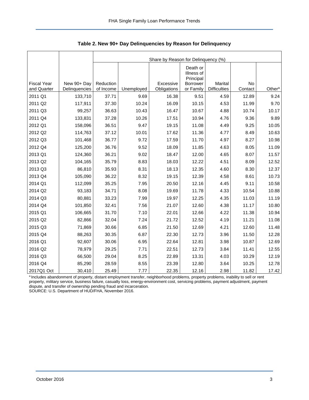<span id="page-3-0"></span>

|                                   |                              | Share by Reason for Delinquency (%) |            |                          |                                     |                                |               |                    |  |  |  |
|-----------------------------------|------------------------------|-------------------------------------|------------|--------------------------|-------------------------------------|--------------------------------|---------------|--------------------|--|--|--|
|                                   |                              |                                     |            |                          | Death or<br>Illness of<br>Principal |                                |               |                    |  |  |  |
| <b>Fiscal Year</b><br>and Quarter | New 90+ Day<br>Delinquencies | Reduction<br>of Income              | Unemployed | Excessive<br>Obligations | <b>Borrower</b><br>or Family        | Marital<br><b>Difficulties</b> | No<br>Contact | Other <sup>a</sup> |  |  |  |
| 2011 Q1                           | 133,710                      | 37.71                               | 9.69       | 16.38                    | 9.51                                | 4.59                           | 12.89         | 9.24               |  |  |  |
| 2011 Q2                           | 117,911                      | 37.30                               | 10.24      | 16.09                    | 10.15                               | 4.53                           | 11.99         | 9.70               |  |  |  |
| 2011 Q3                           | 99,257                       | 36.63                               | 10.43      | 16.47                    | 10.67                               | 4.88                           | 10.74         | 10.17              |  |  |  |
| 2011 Q4                           | 133,831                      | 37.28                               | 10.26      | 17.51                    | 10.94                               | 4.76                           | 9.36          | 9.89               |  |  |  |
| 2012 Q1                           | 158,096                      | 36.51                               | 9.47       | 19.15                    | 11.08                               | 4.49                           | 9.25          | 10.05              |  |  |  |
| 2012 Q2                           | 114,763                      | 37.12                               | 10.01      | 17.62                    | 11.36                               | 4.77                           | 8.49          | 10.63              |  |  |  |
| 2012 Q3                           | 101,468                      | 36.77                               | 9.72       | 17.59                    | 11.70                               | 4.97                           | 8.27          | 10.98              |  |  |  |
| 2012 Q4                           | 125,200                      | 36.76                               | 9.52       | 18.09                    | 11.85                               | 4.63                           | 8.05          | 11.09              |  |  |  |
| 2013 Q1                           | 124,360                      | 36.21                               | 9.02       | 18.47                    | 12.00                               | 4.65                           | 8.07          | 11.57              |  |  |  |
| 2013 Q2                           | 104,165                      | 35.79                               | 8.83       | 18.03                    | 12.22                               | 4.51                           | 8.09          | 12.52              |  |  |  |
| 2013 Q3                           | 86,810                       | 35.93                               | 8.31       | 18.13                    | 12.35                               | 4.60                           | 8.30          | 12.37              |  |  |  |
| 2013 Q4                           | 105,090                      | 36.22                               | 8.32       | 19.15                    | 12.39                               | 4.58                           | 8.61          | 10.73              |  |  |  |
| 2014 Q1                           | 112,099                      | 35.25                               | 7.95       | 20.50                    | 12.16                               | 4.45                           | 9.11          | 10.58              |  |  |  |
| 2014 Q2                           | 93,183                       | 34.71                               | 8.08       | 19.69                    | 11.78                               | 4.33                           | 10.54         | 10.88              |  |  |  |
| 2014 Q3                           | 80,881                       | 33.23                               | 7.99       | 19.97                    | 12.25                               | 4.35                           | 11.03         | 11.19              |  |  |  |
| 2014 Q4                           | 101,850                      | 32.41                               | 7.56       | 21.07                    | 12.60                               | 4.38                           | 11.17         | 10.80              |  |  |  |
| 2015 Q1                           | 106,665                      | 31.70                               | 7.10       | 22.01                    | 12.66                               | 4.22                           | 11.38         | 10.94              |  |  |  |
| 2015 Q2                           | 82,866                       | 32.04                               | 7.24       | 21.72                    | 12.52                               | 4.19                           | 11.21         | 11.08              |  |  |  |
| 2015 Q3                           | 71,869                       | 30.66                               | 6.85       | 21.50                    | 12.69                               | 4.21                           | 12.60         | 11.48              |  |  |  |
| 2015 Q4                           | 88,263                       | 30.35                               | 6.87       | 22.30                    | 12.73                               | 3.96                           | 11.50         | 12.28              |  |  |  |
| 2016 Q1                           | 92,607                       | 30.06                               | 6.95       | 22.64                    | 12.81                               | 3.98                           | 10.87         | 12.69              |  |  |  |
| 2016 Q2                           | 78,979                       | 29.25                               | 7.71       | 22.51                    | 12.73                               | 3.84                           | 11.41         | 12.55              |  |  |  |
| 2016 Q3                           | 66,500                       | 29.04                               | 8.25       | 22.89                    | 13.31                               | 4.03                           | 10.29         | 12.19              |  |  |  |
| 2016 Q4                           | 85,290                       | 28.59                               | 8.55       | 23.39                    | 12.80                               | 3.64                           | 10.25         | 12.78              |  |  |  |
| 2017Q1 Oct                        | 30,410                       | 25.49                               | 7.77       | 22.35                    | 12.16                               | 2.98                           | 11.82         | 17.42              |  |  |  |

<span id="page-3-1"></span>**Table 2. New 90+ Day Delinquencies by Reason for Delinquency** 

a Includes abandonment of property, distant employment transfer, neighborhood problems, property problems, inability to sell or rent property, military service, business failure, casualty loss, energy-environment cost, servicing problems, payment adjustment, payment dispute, and transfer of ownership pending fraud and incarceration.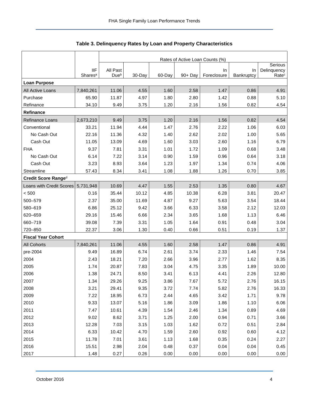<span id="page-4-0"></span>

|                           |                                   | Rates of Active Loan Counts (%) |        |        |            |                    |                  |                                  |  |  |
|---------------------------|-----------------------------------|---------------------------------|--------|--------|------------|--------------------|------------------|----------------------------------|--|--|
|                           |                                   |                                 |        |        |            |                    |                  | Serious                          |  |  |
|                           | <b>IIF</b><br>Shares <sup>a</sup> | All Past<br>Dueb                | 30-Day | 60-Day | $90 + Day$ | In.<br>Foreclosure | In<br>Bankruptcy | Delinquency<br>Rate <sup>c</sup> |  |  |
| <b>Loan Purpose</b>       |                                   |                                 |        |        |            |                    |                  |                                  |  |  |
| All Active Loans          | 7,840,261                         | 11.06                           | 4.55   | 1.60   | 2.58       | 1.47               | 0.86             | 4.91                             |  |  |
| Purchase                  | 65.90                             | 11.87                           | 4.97   | 1.80   | 2.80       | 1.42               | 0.88             | 5.10                             |  |  |
| Refinance                 | 34.10                             | 9.49                            | 3.75   | 1.20   | 2.16       | 1.56               | 0.82             | 4.54                             |  |  |
| Refinance                 |                                   |                                 |        |        |            |                    |                  |                                  |  |  |
| Refinance Loans           | 2,673,210                         | 9.49                            | 3.75   | 1.20   | 2.16       | 1.56               | 0.82             | 4.54                             |  |  |
| Conventional              | 33.21                             | 11.94                           | 4.44   | 1.47   | 2.76       | 2.22               | 1.06             | 6.03                             |  |  |
| No Cash Out               | 22.16                             | 11.36                           | 4.32   | 1.40   | 2.62       | 2.02               | 1.00             | 5.65                             |  |  |
| Cash Out                  | 11.05                             | 13.09                           | 4.69   | 1.60   | 3.03       | 2.60               | 1.16             | 6.79                             |  |  |
| <b>FHA</b>                | 9.37                              | 7.81                            | 3.31   | 1.01   | 1.72       | 1.09               | 0.68             | 3.48                             |  |  |
| No Cash Out               | 6.14                              | 7.22                            | 3.14   | 0.90   | 1.59       | 0.96               | 0.64             | 3.18                             |  |  |
| Cash Out                  | 3.23                              | 8.93                            | 3.64   | 1.23   | 1.97       | 1.34               | 0.74             | 4.06                             |  |  |
| Streamline                | 57.43                             | 8.34                            | 3.41   | 1.08   | 1.88       | 1.26               | 0.70             | 3.85                             |  |  |
| Credit Score Ranged       |                                   |                                 |        |        |            |                    |                  |                                  |  |  |
| Loans with Credit Scores  | 5,731,948                         | 10.69                           | 4.47   | 1.55   | 2.53       | 1.35               | 0.80             | 4.67                             |  |  |
| < 500                     | 0.16                              | 35.44                           | 10.12  | 4.85   | 10.38      | 6.28               | 3.81             | 20.47                            |  |  |
| 500-579                   | 2.37                              | 35.00                           | 11.69  | 4.87   | 9.27       | 5.63               | 3.54             | 18.44                            |  |  |
| 580-619                   | 6.86                              | 25.12                           | 9.42   | 3.66   | 6.33       | 3.58               | 2.12             | 12.03                            |  |  |
| 620-659                   | 29.16                             | 15.46                           | 6.66   | 2.34   | 3.65       | 1.68               | 1.13             | 6.46                             |  |  |
| 660-719                   | 39.08                             | 7.39                            | 3.31   | 1.05   | 1.64       | 0.91               | 0.48             | 3.04                             |  |  |
| 720-850                   | 22.37                             | 3.06                            | 1.30   | 0.40   | 0.66       | 0.51               | 0.19             | 1.37                             |  |  |
| <b>Fiscal Year Cohort</b> |                                   |                                 |        |        |            |                    |                  |                                  |  |  |
| All Cohorts               | 7,840,261                         | 11.06                           | 4.55   | 1.60   | 2.58       | 1.47               | 0.86             | 4.91                             |  |  |
| pre-2004                  | 9.49                              | 16.89                           | 6.74   | 2.61   | 3.74       | 2.33               | 1.46             | 7.54                             |  |  |
| 2004                      | 2.43                              | 18.21                           | 7.20   | 2.66   | 3.96       | 2.77               | 1.62             | 8.35                             |  |  |
| 2005                      | 1.74                              | 20.87                           | 7.83   | 3.04   | 4.75       | 3.35               | 1.89             | 10.00                            |  |  |
| 2006                      | 1.38                              | 24.71                           | 8.50   | 3.41   | 6.13       | 4.41               | 2.26             | 12.80                            |  |  |
| 2007                      | 1.34                              | 29.26                           | 9.25   | 3.86   | 7.67       | 5.72               | 2.76             | 16.15                            |  |  |
| 2008                      | 3.21                              | 29.41                           | 9.35   | 3.72   | 7.74       | 5.82               | 2.76             | 16.33                            |  |  |
| 2009                      | 7.22                              | 18.95                           | 6.73   | 2.44   | 4.65       | 3.42               | 1.71             | 9.78                             |  |  |
| 2010                      | 9.33                              | 13.07                           | 5.16   | 1.86   | 3.09       | 1.86               | 1.10             | 6.06                             |  |  |
| 2011                      | 7.47                              | 10.61                           | 4.39   | 1.54   | 2.46       | 1.34               | 0.89             | 4.69                             |  |  |
| 2012                      | 9.02                              | 8.62                            | 3.71   | 1.25   | 2.00       | 0.94               | 0.71             | 3.66                             |  |  |
| 2013                      | 12.28                             | 7.03                            | 3.15   | 1.03   | 1.62       | 0.72               | 0.51             | 2.84                             |  |  |
| 2014                      | 6.33                              | 10.42                           | 4.70   | 1.59   | 2.60       | 0.92               | 0.60             | 4.12                             |  |  |
| 2015                      | 11.78                             | 7.01                            | 3.61   | 1.13   | 1.68       | 0.35               | 0.24             | 2.27                             |  |  |
| 2016                      | 15.51                             | 2.98                            | 2.04   | 0.48   | 0.37       | 0.04               | 0.04             | 0.45                             |  |  |
| 2017                      | 1.48                              | 0.27                            | 0.26   | 0.00   | 0.00       | 0.00               | 0.00             | 0.00                             |  |  |

<span id="page-4-1"></span>

| Table 3. Delinquency Rates by Loan and Property Characteristics |  |  |  |
|-----------------------------------------------------------------|--|--|--|
|-----------------------------------------------------------------|--|--|--|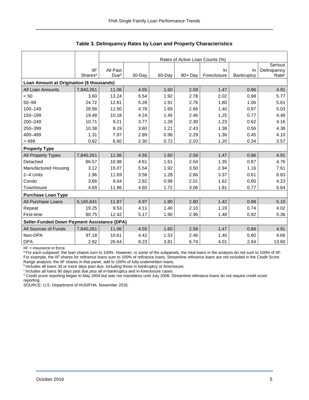|                                             |                     | Rates of Active Loan Counts (%) |        |        |            |             |            |                   |  |  |  |
|---------------------------------------------|---------------------|---------------------------------|--------|--------|------------|-------------|------------|-------------------|--|--|--|
|                                             |                     |                                 |        |        |            |             |            | Serious           |  |  |  |
|                                             | <b>IIF</b>          | All Past                        |        |        |            | In.         | <b>In</b>  | Delinquency       |  |  |  |
|                                             | Shares <sup>a</sup> | Due <sup>b</sup>                | 30-Day | 60-Day | $90 + Day$ | Foreclosure | Bankruptcy | Rate <sup>c</sup> |  |  |  |
| Loan Amount at Origination (\$ thousands)   |                     |                                 |        |        |            |             |            |                   |  |  |  |
| All Loan Amounts                            | 7,840,261           | 11.06                           | 4.55   | 1.60   | 2.58       | 1.47        | 0.86       | 4.91              |  |  |  |
| < 50                                        | 3.60                | 13.24                           | 5.54   | 1.92   | 2.78       | 2.02        | 0.98       | 5.77              |  |  |  |
| $50 - 99$                                   | 24.72               | 12.81                           | 5.28   | 1.91   | 2.76       | 1.80        | 1.06       | 5.61              |  |  |  |
| 100-149                                     | 28.98               | 11.50                           | 4.78   | 1.69   | 2.66       | 1.40        | 0.97       | 5.03              |  |  |  |
| 150-199                                     | 19.48               | 10.18                           | 4.24   | 1.45   | 2.46       | 1.25        | 0.77       | 4.48              |  |  |  |
| 200-249                                     | 10.71               | 9.21                            | 3.77   | 1.28   | 2.30       | 1.23        | 0.62       | 4.16              |  |  |  |
| 250-399                                     | 10.38               | 9.19                            | 3.60   | 1.21   | 2.43       | 1.38        | 0.56       | 4.38              |  |  |  |
| 400-499                                     | 1.31                | 7.97                            | 2.89   | 0.98   | 2.29       | 1.36        | 0.45       | 4.10              |  |  |  |
| >499                                        | 0.82                | 6.60                            | 2.30   | 0.72   | 2.03       | 1.20        | 0.34       | 3.57              |  |  |  |
| <b>Property Type</b>                        |                     |                                 |        |        |            |             |            |                   |  |  |  |
| All Property Types                          | 7,840,261           | 11.06                           | 4.55   | 1.60   | 2.58       | 1.47        | 0.86       | 4.91              |  |  |  |
| Detached                                    | 86.57               | 10.98                           | 4.61   | 1.61   | 2.54       | 1.35        | 0.87       | 4.76              |  |  |  |
| Manufactured Housing                        | 3.12                | 15.07                           | 5.54   | 1.92   | 3.50       | 2.94        | 1.16       | 7.61              |  |  |  |
| 2-4 Units                                   | 1.96                | 11.69                           | 3.58   | 1.28   | 2.86       | 3.37        | 0.61       | 6.83              |  |  |  |
| Condo                                       | 3.66                | 8.04                            | 2.82   | 0.99   | 2.01       | 1.62        | 0.60       | 4.23              |  |  |  |
| Townhouse                                   | 4.69                | 11.96                           | 4.60   | 1.72   | 3.06       | 1.81        | 0.77       | 5.64              |  |  |  |
| <b>Purchase Loan Type</b>                   |                     |                                 |        |        |            |             |            |                   |  |  |  |
| All Purchase Loans                          | 5,165,641           | 11.87                           | 4.97   | 1.80   | 2.80       | 1.42        | 0.88       | 5.10              |  |  |  |
| Repeat                                      | 19.25               | 9.53                            | 4.11   | 1.40   | 2.10       | 1.19        | 0.74       | 4.02              |  |  |  |
| First-time                                  | 80.75               | 12.42                           | 5.17   | 1.90   | 2.96       | 1.48        | 0.92       | 5.36              |  |  |  |
| Seller-Funded Down Payment Assistance (DPA) |                     |                                 |        |        |            |             |            |                   |  |  |  |
| All Sources of Funds                        | 7,840,261           | 11.06                           | 4.55   | 1.60   | 2.58       | 1.47        | 0.86       | 4.91              |  |  |  |
| Non-DPA                                     | 97.18               | 10.61                           | 4.42   | 1.53   | 2.46       | 1.40        | 0.80       | 4.66              |  |  |  |
| <b>DPA</b>                                  | 2.82                | 26.64                           | 9.23   | 3.81   | 6.74       | 4.01        | 2.84       | 13.60             |  |  |  |

**Table 3. Delinquency Rates by Loan and Property Characteristics** 

IIF = insurance in force.

a For each subpanel, the loan shares sum to 100%. However, in some of the subpanels, the total loans in the analysis do not sum to 100% of IIF. For example, the IIF shares for refinance loans sum to 100% of refinance loans. Streamline refinance loans are not included in the Credit Score Range analysis; the IIF shares in that panel, add to 100% of fully-underwritten loans.

bincludes all loans 30 or more days past due, including those in bankruptcy or foreclosure.

<sup>c</sup> Includes all loans 90 days past due plus all in-bankruptcy and in-foreclosure cases.

<sup>d</sup> Credit score reporting began in May 2004 but was not mandatory until July 2008. Streamline refinance loans do not require credit score reporting.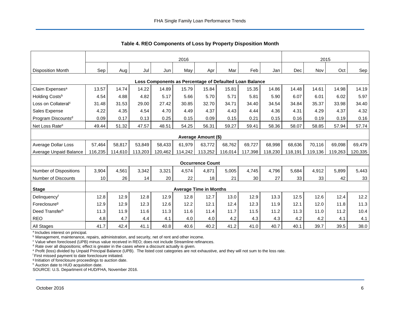<span id="page-6-0"></span>

|                                                         | 2016            |         |         |         |                               |                         |         |         |         | 2015    |         |         |         |
|---------------------------------------------------------|-----------------|---------|---------|---------|-------------------------------|-------------------------|---------|---------|---------|---------|---------|---------|---------|
|                                                         |                 |         |         |         |                               |                         |         |         |         |         |         |         |         |
| <b>Disposition Month</b>                                | Sep             | Aug     | Jul     | Jun     | May                           | Apr                     | Mar     | Feb     | Jan     | Dec     | Nov     | Oct     | Sep     |
| Loss Components as Percentage of Defaulted Loan Balance |                 |         |         |         |                               |                         |         |         |         |         |         |         |         |
| Claim Expenses <sup>a</sup>                             | 13.57           | 14.74   | 14.22   | 14.89   | 15.79                         | 15.84                   | 15.81   | 15.35   | 14.86   | 14.48   | 14.61   | 14.98   | 14.19   |
| Holding Costs <sup>b</sup>                              | 4.54            | 4.88    | 4.82    | 5.17    | 5.66                          | 5.70                    | 5.71    | 5.81    | 5.90    | 6.07    | 6.01    | 6.02    | 5.97    |
| Loss on Collateral <sup>c</sup>                         | 31.48           | 31.53   | 29.00   | 27.42   | 30.85                         | 32.70                   | 34.71   | 34.40   | 34.54   | 34.84   | 35.37   | 33.98   | 34.40   |
| Sales Expense                                           | 4.22            | 4.35    | 4.54    | 4.70    | 4.49                          | 4.37                    | 4.43    | 4.44    | 4.36    | 4.31    | 4.29    | 4.37    | 4.32    |
| Program Discounts <sup>d</sup>                          | 0.09            | 0.17    | 0.13    | 0.25    | 0.15                          | 0.09                    | 0.15    | 0.21    | 0.15    | 0.16    | 0.19    | 0.19    | 0.16    |
| Net Loss Rate <sup>e</sup>                              | 49.44           | 51.32   | 47.57   | 48.51   | 54.25                         | 56.31                   | 59.27   | 59.41   | 58.36   | 58.07   | 58.85   | 57.94   | 57.74   |
| Average Amount (\$)                                     |                 |         |         |         |                               |                         |         |         |         |         |         |         |         |
| Average Dollar Loss                                     | 57,464          | 58,817  | 53,849  | 58,433  | 61,979                        | 63,772                  | 68,762  | 69,727  | 68,998  | 68,636  | 70,116  | 69,098  | 69,479  |
| Average Unpaid Balance                                  | 116,235         | 114,610 | 113,203 | 120,462 | 114,242                       | 113,252                 | 116,014 | 117,398 | 118,230 | 118,191 | 119,136 | 119,263 | 120,335 |
|                                                         |                 |         |         |         |                               | <b>Occurrence Count</b> |         |         |         |         |         |         |         |
| <b>Number of Dispositions</b>                           | 3,904           | 4,561   | 3,342   | 3,321   | 4,574                         | 4,871                   | 5,005   | 4,745   | 4,796   | 5,684   | 4,912   | 5,899   | 5,443   |
| <b>Number of Discounts</b>                              | 10 <sup>°</sup> | 26      | 14      | 20      | 22                            | 18                      | 21      | 30      | 27      | 33      | 33      | 42      | 33      |
| <b>Stage</b>                                            |                 |         |         |         | <b>Average Time in Months</b> |                         |         |         |         |         |         |         |         |
| Delinquencyf                                            | 12.8            | 12.9    | 12.8    | 12.9    | 12.8                          | 12.7                    | 13.0    | 12.9    | 13.3    | 12.5    | 12.6    | 12.4    | 12.2    |
| Foreclosure <sup>g</sup>                                | 12.9            | 12.9    | 12.3    | 12.6    | 12.2                          | 12.1                    | 12.4    | 12.3    | 11.9    | 12.1    | 12.0    | 11.8    | 11.3    |
| Deed Transferh                                          | 11.3            | 11.9    | 11.6    | 11.3    | 11.6                          | 11.4                    | 11.7    | 11.5    | 11.2    | 11.3    | 11.0    | 11.2    | 10.4    |
| <b>REO</b>                                              | 4.8             | 4.7     | 4.4     | 4.1     | 4.0                           | 4.0                     | 4.2     | 4.3     | 4.3     | 4.2     | 4.2     | 4.1     | 4.1     |
| All Stages                                              | 41.7            | 42.4    | 41.1    | 40.8    | 40.6                          | 40.2                    | 41.2    | 41.0    | 40.7    | 40.1    | 39.7    | 39.5    | 38.0    |

**Table 4. REO Components of Loss by Property Disposition Month** 

<sup>a</sup> Includes interest on principal.

<sup>b</sup> Management, maintenance, repairs, administration, and security, net of rent and other income.

c Value when foreclosed (UPB) minus value received in REO; does not include Streamline refinances.

<sup>d</sup> Rate over all dispositions; effect is greater in the cases where a discount actually is given.

e Profit (loss) divided by Unpaid Principal Balance (UPB). The listed cost categories are not exhaustive, and they will not sum to the loss rate.

<sup>f</sup>First missed payment to date foreclosure initiated.

g Initiation of foreclosure proceedings to auction date.

h Auction date to HUD acquisition date.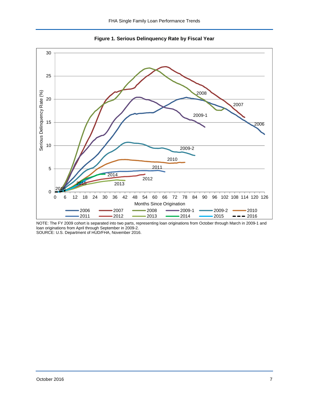<span id="page-7-0"></span>



NOTE: The FY 2009 cohort is separated into two parts, representing loan originations from October through March in 2009-1 and loan originations from April through September in 2009-2. SOURCE: U.S. Department of HUD/FHA, November 2016.